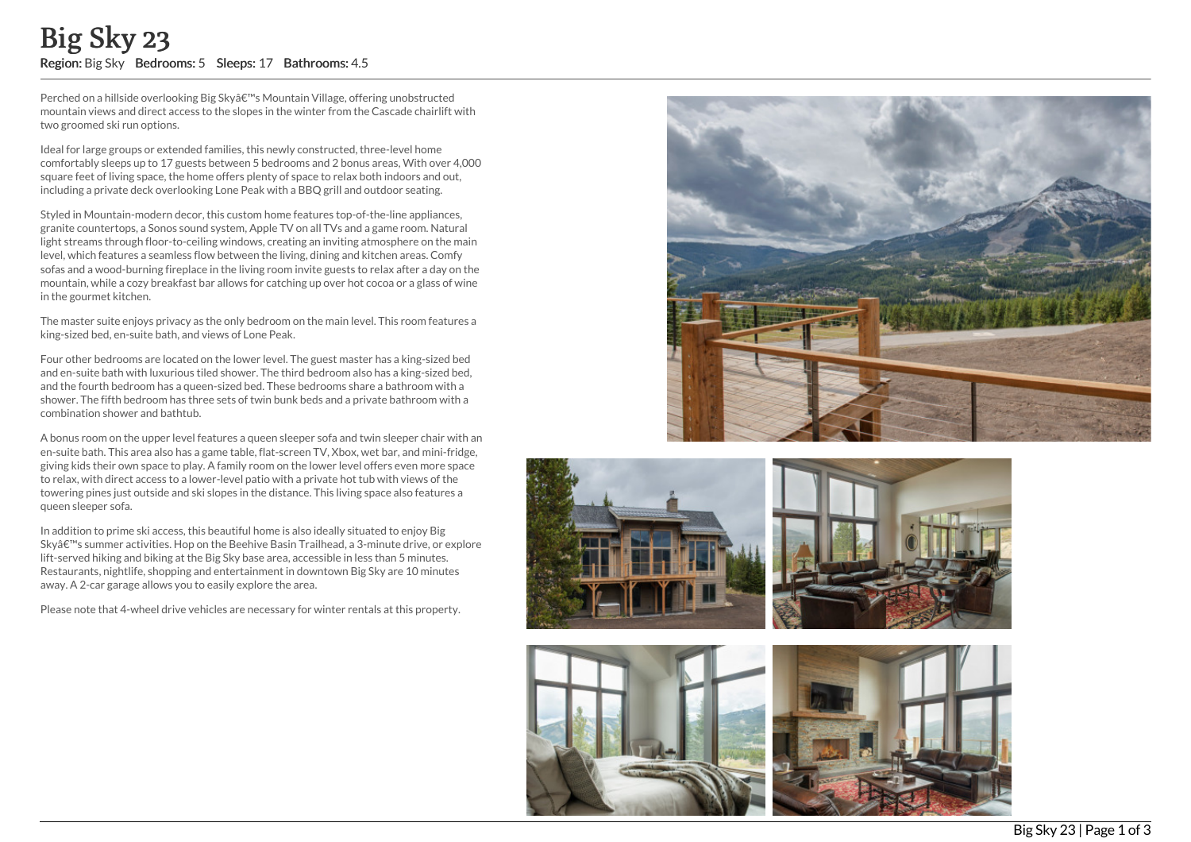## Big Sky 23 Region: Big Sky Bedrooms: 5 Sleeps: 17 Bathrooms: 4.5

Perched on a hillside overlooking Big Skyâ€<sup>™</sup>s Mountain Village, offering unobstructed mountain views and direct access to the slopes in the winter from the Cascade chairlift with two groomed ski run options.

Ideal for large groups or extended families, this newly constructed, three-level home comfortably sleeps up to 17 guests between 5 bedrooms and 2 bonus areas, With over 4,000 square feet of living space, the home offers plenty of space to relax both indoors and out, including a private deck overlooking Lone Peak with a BBQ grill and outdoor seating.

Styled in Mountain-modern decor, this custom home features top-of-the-line appliances, granite countertops, a Sonos sound system, Apple TV on all TVs and a game room. Natural light streams through floor-to-ceiling windows, creating an inviting atmosphere on the main level, which features a seamless flow between the living, dining and kitchen areas. Comfy sofas and a wood-burning fireplace in the living room invite guests to relax after a day on the mountain, while a cozy breakfast bar allows for catching up over hot cocoa or a glass of wine in the gourmet kitchen.

The master suite enjoys privacy as the only bedroom on the main level. This room features a king-sized bed, en-suite bath, and views of Lone Peak.

Four other bedrooms are located on the lower level. The guest master has a king-sized bed and en-suite bath with luxurious tiled shower. The third bedroom also has a king-sized bed, and the fourth bedroom has a queen-sized bed. These bedrooms share a bathroom with a shower. The fifth bedroom has three sets of twin bunk beds and a private bathroom with a combination shower and bathtub.

A bonus room on the upper level features a queen sleeper sofa and twin sleeper chair with an en-suite bath. This area also has a game table, flat-screen TV, Xbox, wet bar, and mini-fridge, giving kids their own space to play. A family room on the lower level offers even more space to relax, with direct access to a lower-level patio with a private hot tub with views of the towering pines just outside and ski slopes in the distance. This living space also features a queen sleeper sofa.

In addition to prime ski access, this beautiful home is also ideally situated to enjoy Big Skyâ€<sup>™</sup>s summer activities. Hop on the Beehive Basin Trailhead, a 3-minute drive, or explore lift-served hiking and biking at the Big Sky base area, accessible in less than 5 minutes. Restaurants, nightlife, shopping and entertainment in downtown Big Sky are 10 minutes away. A 2-car garage allows you to easily explore the area.

Please note that 4-wheel drive vehicles are necessary for winter rentals at this property.







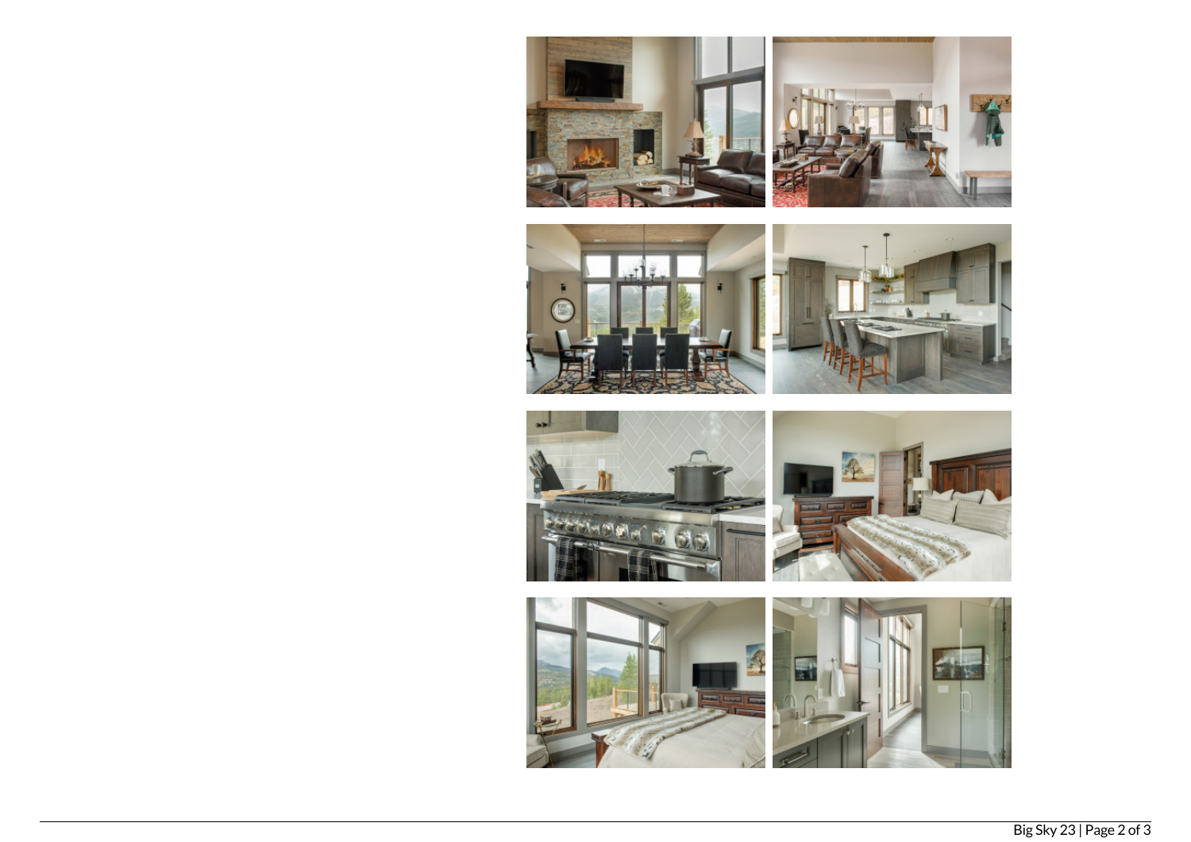